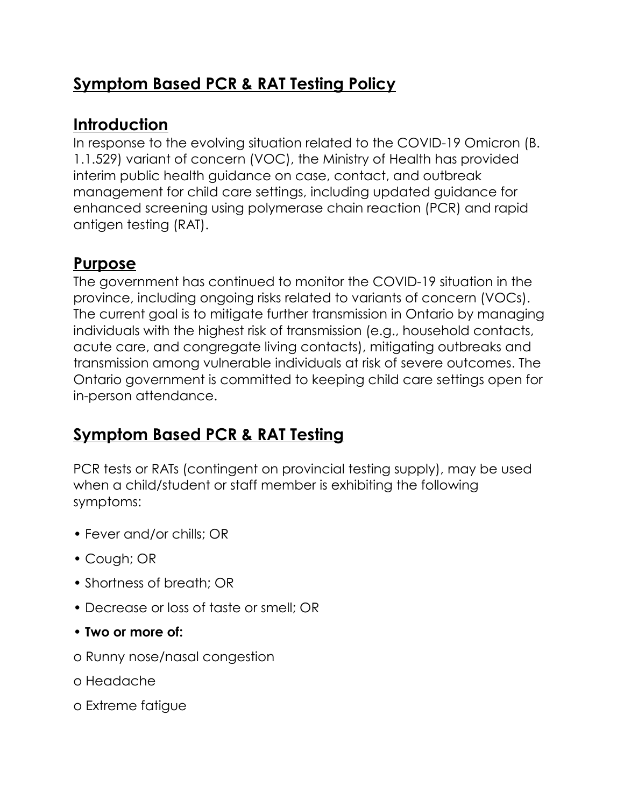### **Symptom Based PCR & RAT Testing Policy**

### **Introduction**

In response to the evolving situation related to the COVID-19 Omicron (B. 1.1.529) variant of concern (VOC), the Ministry of Health has provided interim public health guidance on case, contact, and outbreak management for child care settings, including updated guidance for enhanced screening using polymerase chain reaction (PCR) and rapid antigen testing (RAT).

## **Purpose**

The government has continued to monitor the COVID-19 situation in the province, including ongoing risks related to variants of concern (VOCs). The current goal is to mitigate further transmission in Ontario by managing individuals with the highest risk of transmission (e.g., household contacts, acute care, and congregate living contacts), mitigating outbreaks and transmission among vulnerable individuals at risk of severe outcomes. The Ontario government is committed to keeping child care settings open for in-person attendance.

# **Symptom Based PCR & RAT Testing**

PCR tests or RATs (contingent on provincial testing supply), may be used when a child/student or staff member is exhibiting the following symptoms:

- Fever and/or chills; OR
- Cough; OR
- Shortness of breath; OR
- Decrease or loss of taste or smell; OR
- **Two or more of:**
- o Runny nose/nasal congestion
- o Headache
- o Extreme fatigue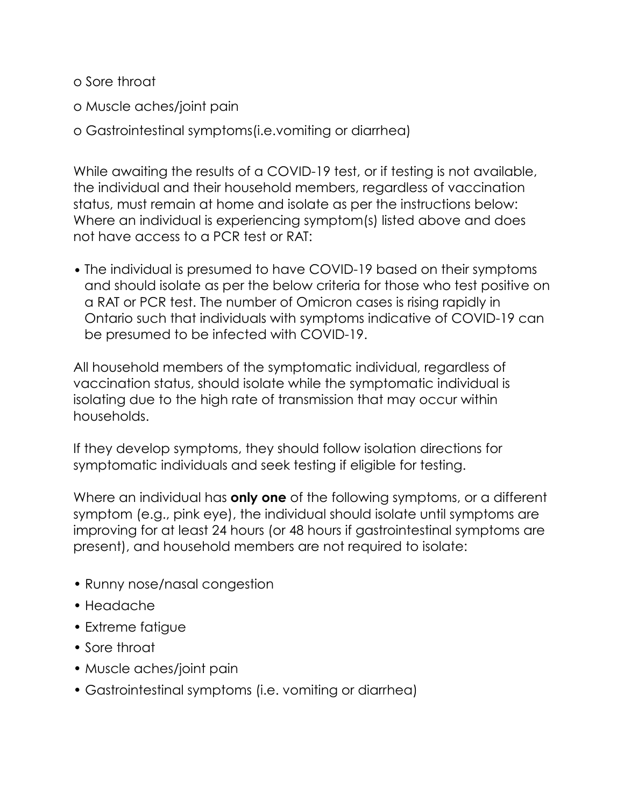o Sore throat

o Muscle aches/joint pain

o Gastrointestinal symptoms(i.e.vomiting or diarrhea)

While awaiting the results of a COVID-19 test, or if testing is not available, the individual and their household members, regardless of vaccination status, must remain at home and isolate as per the instructions below: Where an individual is experiencing symptom(s) listed above and does not have access to a PCR test or RAT:

• The individual is presumed to have COVID-19 based on their symptoms and should isolate as per the below criteria for those who test positive on a RAT or PCR test. The number of Omicron cases is rising rapidly in Ontario such that individuals with symptoms indicative of COVID-19 can be presumed to be infected with COVID-19.

All household members of the symptomatic individual, regardless of vaccination status, should isolate while the symptomatic individual is isolating due to the high rate of transmission that may occur within households.

If they develop symptoms, they should follow isolation directions for symptomatic individuals and seek testing if eligible for testing.

Where an individual has **only one** of the following symptoms, or a different symptom (e.g., pink eye), the individual should isolate until symptoms are improving for at least 24 hours (or 48 hours if gastrointestinal symptoms are present), and household members are not required to isolate:

- Runny nose/nasal congestion
- Headache
- Extreme fatigue
- Sore throat
- Muscle aches/joint pain
- Gastrointestinal symptoms (i.e. vomiting or diarrhea)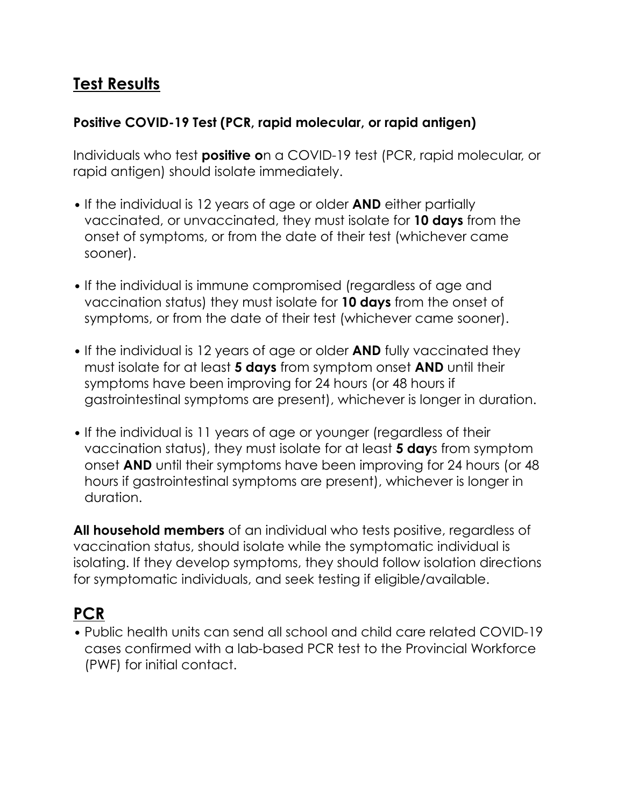### **Test Results**

#### **Positive COVID-19 Test (PCR, rapid molecular, or rapid antigen)**

Individuals who test **positive o**n a COVID-19 test (PCR, rapid molecular, or rapid antigen) should isolate immediately.

- If the individual is 12 years of age or older **AND** either partially vaccinated, or unvaccinated, they must isolate for **10 days** from the onset of symptoms, or from the date of their test (whichever came sooner).
- If the individual is immune compromised (regardless of age and vaccination status) they must isolate for **10 days** from the onset of symptoms, or from the date of their test (whichever came sooner).
- If the individual is 12 years of age or older **AND** fully vaccinated they must isolate for at least **5 days** from symptom onset **AND** until their symptoms have been improving for 24 hours (or 48 hours if gastrointestinal symptoms are present), whichever is longer in duration.
- If the individual is 11 years of age or younger (regardless of their vaccination status), they must isolate for at least **5 day**s from symptom onset **AND** until their symptoms have been improving for 24 hours (or 48 hours if gastrointestinal symptoms are present), whichever is longer in duration.

**All household members** of an individual who tests positive, regardless of vaccination status, should isolate while the symptomatic individual is isolating. If they develop symptoms, they should follow isolation directions for symptomatic individuals, and seek testing if eligible/available.

### **PCR**

• Public health units can send all school and child care related COVID-19 cases confirmed with a lab-based PCR test to the Provincial Workforce (PWF) for initial contact.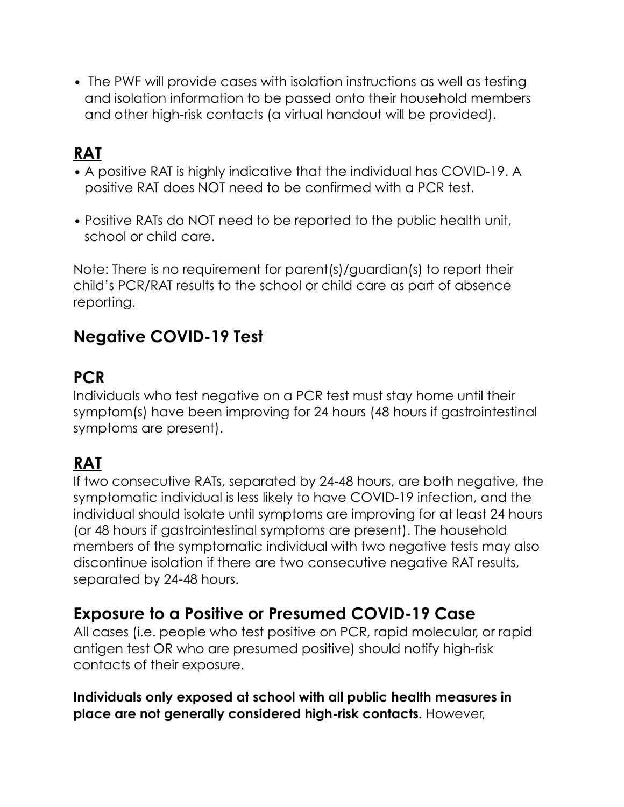• The PWF will provide cases with isolation instructions as well as testing and isolation information to be passed onto their household members and other high-risk contacts (a virtual handout will be provided).

## **RAT**

- A positive RAT is highly indicative that the individual has COVID-19. A positive RAT does NOT need to be confirmed with a PCR test.
- Positive RATs do NOT need to be reported to the public health unit, school or child care.

Note: There is no requirement for parent(s)/guardian(s) to report their child's PCR/RAT results to the school or child care as part of absence reporting.

### **Negative COVID-19 Test**

#### **PCR**

Individuals who test negative on a PCR test must stay home until their symptom(s) have been improving for 24 hours (48 hours if gastrointestinal symptoms are present).

### **RAT**

If two consecutive RATs, separated by 24-48 hours, are both negative, the symptomatic individual is less likely to have COVID-19 infection, and the individual should isolate until symptoms are improving for at least 24 hours (or 48 hours if gastrointestinal symptoms are present). The household members of the symptomatic individual with two negative tests may also discontinue isolation if there are two consecutive negative RAT results, separated by 24-48 hours.

#### **Exposure to a Positive or Presumed COVID-19 Case**

All cases (i.e. people who test positive on PCR, rapid molecular, or rapid antigen test OR who are presumed positive) should notify high-risk contacts of their exposure.

**Individuals only exposed at school with all public health measures in place are not generally considered high-risk contacts.** However,